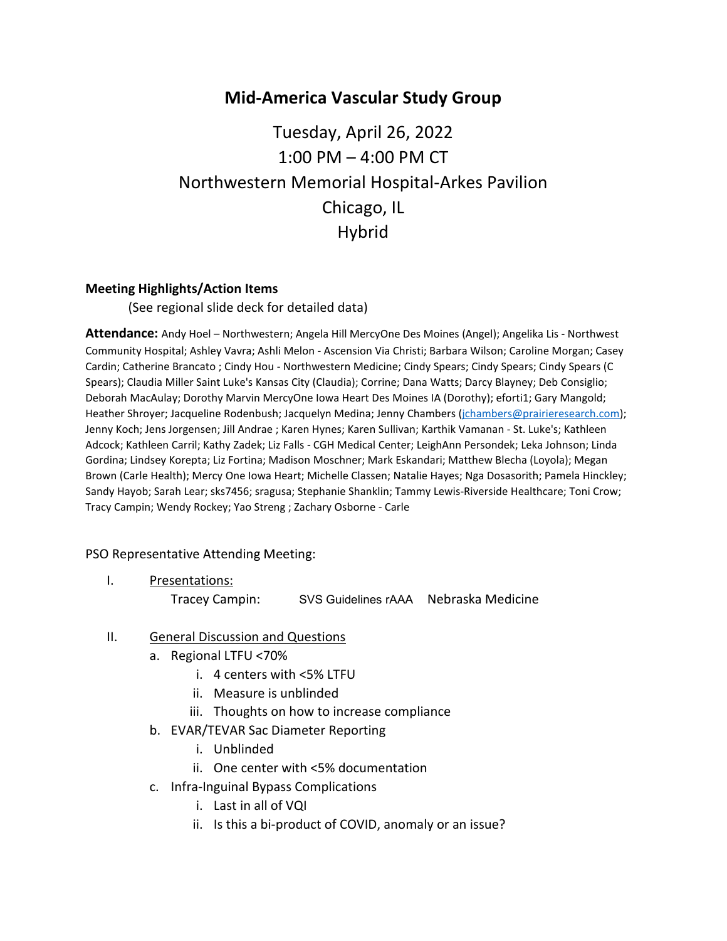## **Mid-America Vascular Study Group**

# Tuesday, April 26, 2022 1:00 PM – 4:00 PM CT Northwestern Memorial Hospital-Arkes Pavilion Chicago, IL Hybrid

#### **Meeting Highlights/Action Items**

(See regional slide deck for detailed data)

**Attendance:** Andy Hoel – Northwestern; Angela Hill MercyOne Des Moines (Angel); Angelika Lis - Northwest Community Hospital; Ashley Vavra; Ashli Melon - Ascension Via Christi; Barbara Wilson; Caroline Morgan; Casey Cardin; Catherine Brancato ; Cindy Hou - Northwestern Medicine; Cindy Spears; Cindy Spears; Cindy Spears (C Spears); Claudia Miller Saint Luke's Kansas City (Claudia); Corrine; Dana Watts; Darcy Blayney; Deb Consiglio; Deborah MacAulay; Dorothy Marvin MercyOne Iowa Heart Des Moines IA (Dorothy); eforti1; Gary Mangold; Heather Shroyer; Jacqueline Rodenbush; Jacquelyn Medina; Jenny Chambers [\(jchambers@prairieresearch.com\)](mailto:jchambers@prairieresearch.com); Jenny Koch; Jens Jorgensen; Jill Andrae ; Karen Hynes; Karen Sullivan; Karthik Vamanan - St. Luke's; Kathleen Adcock; Kathleen Carril; Kathy Zadek; Liz Falls - CGH Medical Center; LeighAnn Persondek; Leka Johnson; Linda Gordina; Lindsey Korepta; Liz Fortina; Madison Moschner; Mark Eskandari; Matthew Blecha (Loyola); Megan Brown (Carle Health); Mercy One Iowa Heart; Michelle Classen; Natalie Hayes; Nga Dosasorith; Pamela Hinckley; Sandy Hayob; Sarah Lear; sks7456; sragusa; Stephanie Shanklin; Tammy Lewis-Riverside Healthcare; Toni Crow; Tracy Campin; Wendy Rockey; Yao Streng ; Zachary Osborne - Carle

#### PSO Representative Attending Meeting:

I. Presentations:

Tracey Campin: SVS Guidelines rAAA Nebraska Medicine

#### II. General Discussion and Questions

- a. Regional LTFU <70%
	- i. 4 centers with <5% LTFU
	- ii. Measure is unblinded
	- iii. Thoughts on how to increase compliance
- b. EVAR/TEVAR Sac Diameter Reporting
	- i. Unblinded
	- ii. One center with <5% documentation
- c. Infra-Inguinal Bypass Complications
	- i. Last in all of VQI
	- ii. Is this a bi-product of COVID, anomaly or an issue?